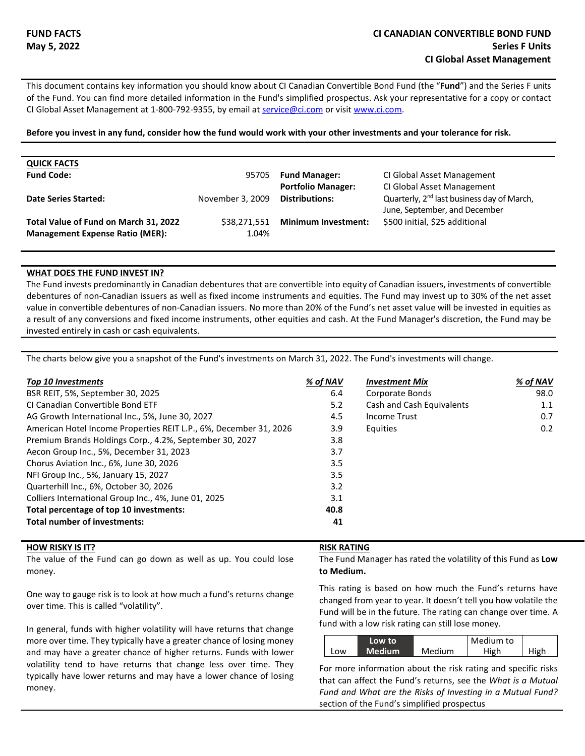This document contains key information you should know about CI Canadian Convertible Bond Fund (the "**Fund**") and the Series F units of the Fund. You can find more detailed information in the Fund's simplified prospectus. Ask your representative for a copy or contact CI Global Asset Management at 1-800-792-9355, by email at service@ci.com or visit www.ci.com.

**Before you invest in any fund, consider how the fund would work with your other investments and your tolerance for risk.**

| <b>QUICK FACTS</b><br><b>Fund Code:</b>                                         | 95705                 | <b>Fund Manager:</b><br><b>Portfolio Manager:</b> | CI Global Asset Management<br>CI Global Asset Management                                |
|---------------------------------------------------------------------------------|-----------------------|---------------------------------------------------|-----------------------------------------------------------------------------------------|
| <b>Date Series Started:</b>                                                     | November 3, 2009      | <b>Distributions:</b>                             | Quarterly, 2 <sup>nd</sup> last business day of March,<br>June, September, and December |
| Total Value of Fund on March 31, 2022<br><b>Management Expense Ratio (MER):</b> | \$38,271,551<br>1.04% | <b>Minimum Investment:</b>                        | \$500 initial, \$25 additional                                                          |

## **WHAT DOES THE FUND INVEST IN?**

The Fund invests predominantly in Canadian debentures that are convertible into equity of Canadian issuers, investments of convertible debentures of non-Canadian issuers as well as fixed income instruments and equities. The Fund may invest up to 30% of the net asset value in convertible debentures of non-Canadian issuers. No more than 20% of the Fund's net asset value will be invested in equities as a result of any conversions and fixed income instruments, other equities and cash. At the Fund Manager's discretion, the Fund may be invested entirely in cash or cash equivalents.

The charts below give you a snapshot of the Fund's investments on March 31, 2022. The Fund's investments will change.

| <b>Top 10 Investments</b>                                         | % of NAV | <b>Investment Mix</b>     | % of NAV      |
|-------------------------------------------------------------------|----------|---------------------------|---------------|
| BSR REIT, 5%, September 30, 2025                                  | 6.4      | Corporate Bonds           | 98.0          |
| CL Canadian Convertible Bond ETF                                  | 5.2      | Cash and Cash Equivalents | 1.1           |
| AG Growth International Inc., 5%, June 30, 2027                   | 4.5      | <b>Income Trust</b>       | 0.7           |
| American Hotel Income Properties REIT L.P., 6%, December 31, 2026 | 3.9      | Equities                  | $0.2^{\circ}$ |
| Premium Brands Holdings Corp., 4.2%, September 30, 2027           | 3.8      |                           |               |
| Aecon Group Inc., 5%, December 31, 2023                           | 3.7      |                           |               |
| Chorus Aviation Inc., 6%, June 30, 2026                           | 3.5      |                           |               |
| NFI Group Inc., 5%, January 15, 2027                              | 3.5      |                           |               |
| Quarterhill Inc., 6%, October 30, 2026                            | 3.2      |                           |               |
| Colliers International Group Inc., 4%, June 01, 2025              | 3.1      |                           |               |
| Total percentage of top 10 investments:                           | 40.8     |                           |               |
| <b>Total number of investments:</b>                               | 41       |                           |               |

# **HOW RISKY IS IT? RISK RATING**

The value of the Fund can go down as well as up. You could lose money.

One way to gauge risk is to look at how much a fund's returns change over time. This is called "volatility".

In general, funds with higher volatility will have returns that change more over time. They typically have a greater chance of losing money and may have a greater chance of higher returns. Funds with lower volatility tend to have returns that change less over time. They typically have lower returns and may have a lower chance of losing money.

The Fund Manager has rated the volatility of this Fund as **Low to Medium.** 

This rating is based on how much the Fund's returns have changed from year to year. It doesn't tell you how volatile the Fund will be in the future. The rating can change over time. A fund with a low risk rating can still lose money.

|     | Low to              |        | Medium to |      |
|-----|---------------------|--------|-----------|------|
| Low | Medium <sup>'</sup> | Medium | High      | High |

For more information about the risk rating and specific risks that can affect the Fund's returns, see the *What is a Mutual Fund and What are the Risks of Investing in a Mutual Fund?* section of the Fund's simplified prospectus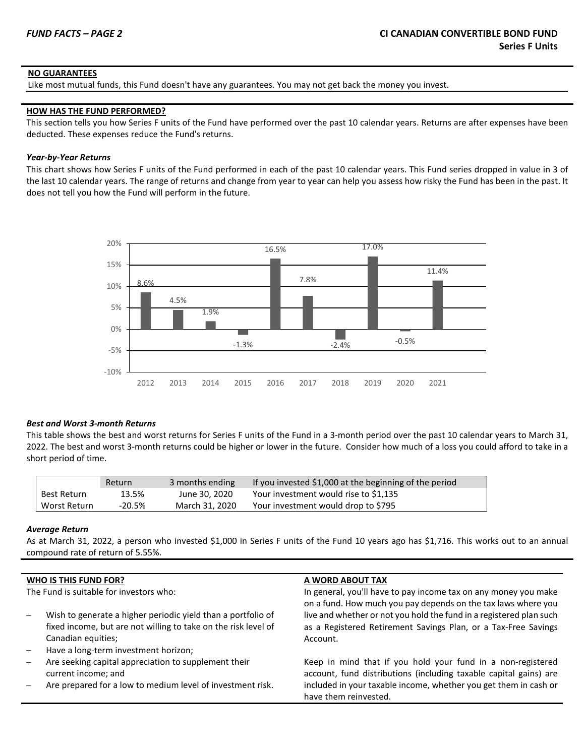# **NO GUARANTEES**

Like most mutual funds, this Fund doesn't have any guarantees. You may not get back the money you invest.

### **HOW HAS THE FUND PERFORMED?**

This section tells you how Series F units of the Fund have performed over the past 10 calendar years. Returns are after expenses have been deducted. These expenses reduce the Fund's returns.

# *Year-by-Year Returns*

This chart shows how Series F units of the Fund performed in each of the past 10 calendar years. This Fund series dropped in value in 3 of the last 10 calendar years. The range of returns and change from year to year can help you assess how risky the Fund has been in the past. It does not tell you how the Fund will perform in the future.



### *Best and Worst 3-month Returns*

This table shows the best and worst returns for Series F units of the Fund in a 3-month period over the past 10 calendar years to March 31, 2022. The best and worst 3-month returns could be higher or lower in the future. Consider how much of a loss you could afford to take in a short period of time.

|              | Return   | 3 months ending | If you invested \$1,000 at the beginning of the period |
|--------------|----------|-----------------|--------------------------------------------------------|
| Best Return  | 13.5%    | June 30, 2020   | Your investment would rise to \$1,135                  |
| Worst Return | $-20.5%$ | March 31, 2020  | Your investment would drop to \$795                    |

### *Average Return*

As at March 31, 2022, a person who invested \$1,000 in Series F units of the Fund 10 years ago has \$1,716. This works out to an annual compound rate of return of 5.55%.

|                          | <b>WHO IS THIS FUND FOR?</b>                                                | A WORD ABOUT TAX                                                                                                                 |
|--------------------------|-----------------------------------------------------------------------------|----------------------------------------------------------------------------------------------------------------------------------|
|                          | The Fund is suitable for investors who:                                     | In general, you'll have to pay income tax on any money you make<br>on a fund. How much you pay depends on the tax laws where you |
|                          | Wish to generate a higher periodic yield than a portfolio of                | live and whether or not you hold the fund in a registered plan such                                                              |
|                          | fixed income, but are not willing to take on the risk level of              | as a Registered Retirement Savings Plan, or a Tax-Free Savings                                                                   |
|                          | Canadian equities;                                                          | Account.                                                                                                                         |
| $\overline{\phantom{0}}$ | Have a long-term investment horizon;                                        |                                                                                                                                  |
| $\overline{\phantom{0}}$ | Are seeking capital appreciation to supplement their<br>current income; and | Keep in mind that if you hold your fund in a non-registered<br>account, fund distributions (including taxable capital gains) are |
|                          | Are prepared for a low to medium level of investment risk.                  | included in your taxable income, whether you get them in cash or<br>have them reinvested.                                        |